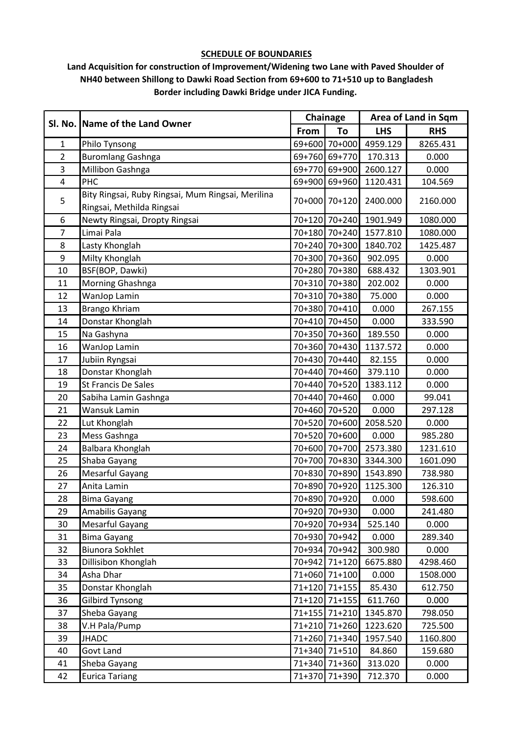#### **SCHEDULE OF BOUNDARIES**

## **Land Acquisition for construction of Improvement/Widening two Lane with Paved Shoulder of NH40 between Shillong to Dawki Road Section from 69+600 to 71+510 up to Bangladesh Border including Dawki Bridge under JICA Funding.**

|                | Sl. No. Name of the Land Owner                    |      | Chainage      |            | Area of Land in Sqm |
|----------------|---------------------------------------------------|------|---------------|------------|---------------------|
|                |                                                   | From | To            | <b>LHS</b> | <b>RHS</b>          |
| $\mathbf{1}$   | Philo Tynsong                                     |      | 69+600 70+000 | 4959.129   | 8265.431            |
| $\overline{2}$ | <b>Buromlang Gashnga</b>                          |      | 69+760 69+770 | 170.313    | 0.000               |
| 3              | Millibon Gashnga                                  |      | 69+770 69+900 | 2600.127   | 0.000               |
| $\overline{4}$ | PHC                                               |      | 69+900 69+960 | 1120.431   | 104.569             |
|                | Bity Ringsai, Ruby Ringsai, Mum Ringsai, Merilina |      |               |            |                     |
| 5              | Ringsai, Methilda Ringsai                         |      | 70+000 70+120 | 2400.000   | 2160.000            |
| 6              | Newty Ringsai, Dropty Ringsai                     |      | 70+120 70+240 | 1901.949   | 1080.000            |
| $\overline{7}$ | Limai Pala                                        |      | 70+180 70+240 | 1577.810   | 1080.000            |
| 8              | Lasty Khonglah                                    |      | 70+240 70+300 | 1840.702   | 1425.487            |
| 9              | Milty Khonglah                                    |      | 70+300 70+360 | 902.095    | 0.000               |
| 10             | BSF(BOP, Dawki)                                   |      | 70+280 70+380 | 688.432    | 1303.901            |
| 11             | Morning Ghashnga                                  |      | 70+310 70+380 | 202.002    | 0.000               |
| 12             | WanJop Lamin                                      |      | 70+310 70+380 | 75.000     | 0.000               |
| 13             | Brango Khriam                                     |      | 70+380 70+410 | 0.000      | 267.155             |
| 14             | Donstar Khonglah                                  |      | 70+410 70+450 | 0.000      | 333.590             |
| 15             | Na Gashyna                                        |      | 70+350 70+360 | 189.550    | 0.000               |
| 16             | WanJop Lamin                                      |      | 70+360 70+430 | 1137.572   | 0.000               |
| 17             | Jubiin Ryngsai                                    |      | 70+430 70+440 | 82.155     | 0.000               |
| 18             | Donstar Khonglah                                  |      | 70+440 70+460 | 379.110    | 0.000               |
| 19             | St Francis De Sales                               |      | 70+440 70+520 | 1383.112   | 0.000               |
| 20             | Sabiha Lamin Gashnga                              |      | 70+440 70+460 | 0.000      | 99.041              |
| 21             | Wansuk Lamin                                      |      | 70+460 70+520 | 0.000      | 297.128             |
| 22             | Lut Khonglah                                      |      | 70+520 70+600 | 2058.520   | 0.000               |
| 23             | Mess Gashnga                                      |      | 70+520 70+600 | 0.000      | 985.280             |
| 24             | Balbara Khonglah                                  |      | 70+600 70+700 | 2573.380   | 1231.610            |
| 25             | Shaba Gayang                                      |      | 70+700 70+830 | 3344.300   | 1601.090            |
| 26             | <b>Mesarful Gayang</b>                            |      | 70+830 70+890 | 1543.890   | 738.980             |
| 27             | Anita Lamin                                       |      | 70+890 70+920 | 1125.300   | 126.310             |
| 28             | <b>Bima Gayang</b>                                |      | 70+890 70+920 | 0.000      | 598.600             |
| 29             | Amabilis Gayang                                   |      | 70+920 70+930 | 0.000      | 241.480             |
| 30             | Mesarful Gayang                                   |      | 70+920 70+934 | 525.140    | 0.000               |
| 31             | <b>Bima Gayang</b>                                |      | 70+930 70+942 | 0.000      | 289.340             |
| 32             | <b>Biunora Sokhlet</b>                            |      | 70+934 70+942 | 300.980    | 0.000               |
| 33             | Dillisibon Khonglah                               |      | 70+942 71+120 | 6675.880   | 4298.460            |
| 34             | Asha Dhar                                         |      | 71+060 71+100 | 0.000      | 1508.000            |
| 35             | Donstar Khonglah                                  |      | 71+120 71+155 | 85.430     | 612.750             |
| 36             | <b>Gilbird Tynsong</b>                            |      | 71+120 71+155 | 611.760    | 0.000               |
| 37             | Sheba Gayang                                      |      | 71+155 71+210 | 1345.870   | 798.050             |
| 38             | V.H Pala/Pump                                     |      | 71+210 71+260 | 1223.620   | 725.500             |
| 39             | <b>JHADC</b>                                      |      | 71+260 71+340 | 1957.540   | 1160.800            |
| 40             | Govt Land                                         |      | 71+340 71+510 | 84.860     | 159.680             |
| 41             | Sheba Gayang                                      |      | 71+340 71+360 | 313.020    | 0.000               |
| 42             | <b>Eurica Tariang</b>                             |      | 71+370 71+390 | 712.370    | 0.000               |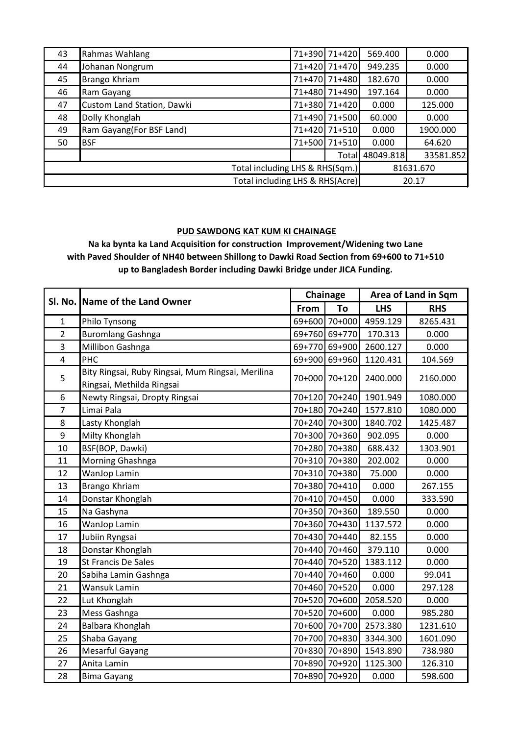| 43 | Rahmas Wahlang                  | 71+390 71+420 | 569.400   | 0.000     |
|----|---------------------------------|---------------|-----------|-----------|
| 44 | Johanan Nongrum                 | 71+420 71+470 | 949.235   | 0.000     |
| 45 | Brango Khriam                   | 71+470 71+480 | 182.670   | 0.000     |
| 46 | Ram Gayang                      | 71+480 71+490 | 197.164   | 0.000     |
| 47 | Custom Land Station, Dawki      | 71+380 71+420 | 0.000     | 125.000   |
| 48 | Dolly Khonglah                  | 71+490 71+500 | 60.000    | 0.000     |
| 49 | Ram Gayang (For BSF Land)       | 71+420 71+510 | 0.000     | 1900.000  |
| 50 | <b>BSF</b>                      | 71+500 71+510 | 0.000     | 64.620    |
|    |                                 | Total         | 48049.818 | 33581.852 |
|    | Total including LHS & RHS(Sqm.) |               |           | 81631.670 |
|    | Total including LHS & RHS(Acre) |               |           | 20.17     |

### **PUD SAWDONG KAT KUM KI CHAINAGE**

**with Paved Shoulder of NH40 between Shillong to Dawki Road Section from 69+600 to 71+510 up to Bangladesh Border including Dawki Bridge under JICA Funding. Na ka bynta ka Land Acquisition for construction Improvement/Widening two Lane** 

| SI. No.        | Name of the Land Owner                                                         |      | Chainage      |            | Area of Land in Sqm |
|----------------|--------------------------------------------------------------------------------|------|---------------|------------|---------------------|
| $\mathbf 1$    |                                                                                | From | To            | <b>LHS</b> | <b>RHS</b>          |
|                | Philo Tynsong                                                                  |      | 69+600 70+000 | 4959.129   | 8265.431            |
| $\overline{2}$ | <b>Buromlang Gashnga</b>                                                       |      | 69+760 69+770 | 170.313    | 0.000               |
| 3              | Millibon Gashnga                                                               |      | 69+770 69+900 | 2600.127   | 0.000               |
| $\overline{4}$ | PHC                                                                            |      | 69+900 69+960 | 1120.431   | 104.569             |
| 5              | Bity Ringsai, Ruby Ringsai, Mum Ringsai, Merilina<br>Ringsai, Methilda Ringsai |      | 70+000 70+120 | 2400.000   | 2160.000            |
| 6              | Newty Ringsai, Dropty Ringsai                                                  |      | 70+120 70+240 | 1901.949   | 1080.000            |
| $\overline{7}$ | Limai Pala                                                                     |      | 70+180 70+240 | 1577.810   | 1080.000            |
| 8              | Lasty Khonglah                                                                 |      | 70+240 70+300 | 1840.702   | 1425.487            |
| 9              | Milty Khonglah                                                                 |      | 70+300 70+360 | 902.095    | 0.000               |
| 10             | BSF(BOP, Dawki)                                                                |      | 70+280 70+380 | 688.432    | 1303.901            |
| 11             | Morning Ghashnga                                                               |      | 70+310 70+380 | 202.002    | 0.000               |
| 12             | WanJop Lamin                                                                   |      | 70+310 70+380 | 75.000     | 0.000               |
| 13             | Brango Khriam                                                                  |      | 70+380 70+410 | 0.000      | 267.155             |
| 14             | Donstar Khonglah                                                               |      | 70+410 70+450 | 0.000      | 333.590             |
| 15             | Na Gashyna                                                                     |      | 70+350 70+360 | 189.550    | 0.000               |
| 16             | WanJop Lamin                                                                   |      | 70+360 70+430 | 1137.572   | 0.000               |
| 17             | Jubiin Ryngsai                                                                 |      | 70+430 70+440 | 82.155     | 0.000               |
| 18             | Donstar Khonglah                                                               |      | 70+440 70+460 | 379.110    | 0.000               |
| 19             | <b>St Francis De Sales</b>                                                     |      | 70+440 70+520 | 1383.112   | 0.000               |
| 20             | Sabiha Lamin Gashnga                                                           |      | 70+440 70+460 | 0.000      | 99.041              |
| 21             | Wansuk Lamin                                                                   |      | 70+460 70+520 | 0.000      | 297.128             |
| 22             | Lut Khonglah                                                                   |      | 70+520 70+600 | 2058.520   | 0.000               |
| 23             | Mess Gashnga                                                                   |      | 70+520 70+600 | 0.000      | 985.280             |
| 24             | Balbara Khonglah                                                               |      | 70+600 70+700 | 2573.380   | 1231.610            |
| 25             | Shaba Gayang                                                                   |      | 70+700 70+830 | 3344.300   | 1601.090            |
| 26             | Mesarful Gayang                                                                |      | 70+830 70+890 | 1543.890   | 738.980             |
| 27             | Anita Lamin                                                                    |      | 70+890 70+920 | 1125.300   | 126.310             |
| 28             | <b>Bima Gayang</b>                                                             |      | 70+890 70+920 | 0.000      | 598.600             |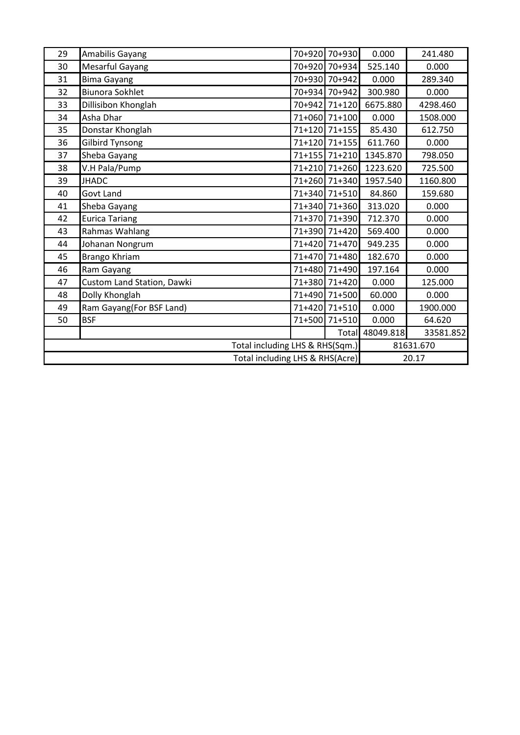| 29 | Amabilis Gayang                 | 70+920 70+930 | 0.000     | 241.480   |  |
|----|---------------------------------|---------------|-----------|-----------|--|
| 30 | Mesarful Gayang                 | 70+920 70+934 | 525.140   | 0.000     |  |
| 31 | <b>Bima Gayang</b>              | 70+930 70+942 | 0.000     | 289.340   |  |
| 32 | <b>Biunora Sokhlet</b>          | 70+934 70+942 | 300.980   | 0.000     |  |
| 33 | Dillisibon Khonglah             | 70+942 71+120 | 6675.880  | 4298.460  |  |
| 34 | Asha Dhar                       | 71+060 71+100 | 0.000     | 1508.000  |  |
| 35 | Donstar Khonglah                | 71+120 71+155 | 85.430    | 612.750   |  |
| 36 | <b>Gilbird Tynsong</b>          | 71+120 71+155 | 611.760   | 0.000     |  |
| 37 | Sheba Gayang                    | 71+155 71+210 | 1345.870  | 798.050   |  |
| 38 | V.H Pala/Pump                   | 71+210 71+260 | 1223.620  | 725.500   |  |
| 39 | <b>JHADC</b>                    | 71+260 71+340 | 1957.540  | 1160.800  |  |
| 40 | <b>Govt Land</b>                | 71+340 71+510 | 84.860    | 159.680   |  |
| 41 | Sheba Gayang                    | 71+340 71+360 | 313.020   | 0.000     |  |
| 42 | <b>Eurica Tariang</b>           | 71+370 71+390 | 712.370   | 0.000     |  |
| 43 | Rahmas Wahlang                  | 71+390 71+420 | 569.400   | 0.000     |  |
| 44 | Johanan Nongrum                 | 71+420 71+470 | 949.235   | 0.000     |  |
| 45 | Brango Khriam                   | 71+470 71+480 | 182.670   | 0.000     |  |
| 46 | Ram Gayang                      | 71+480 71+490 | 197.164   | 0.000     |  |
| 47 | Custom Land Station, Dawki      | 71+380 71+420 | 0.000     | 125.000   |  |
| 48 | Dolly Khonglah                  | 71+490 71+500 | 60.000    | 0.000     |  |
| 49 | Ram Gayang(For BSF Land)        | 71+420 71+510 | 0.000     | 1900.000  |  |
| 50 | <b>BSF</b>                      | 71+500 71+510 | 0.000     | 64.620    |  |
|    |                                 | Total         | 48049.818 | 33581.852 |  |
|    | Total including LHS & RHS(Sqm.) |               | 81631.670 |           |  |
|    | Total including LHS & RHS(Acre) |               |           | 20.17     |  |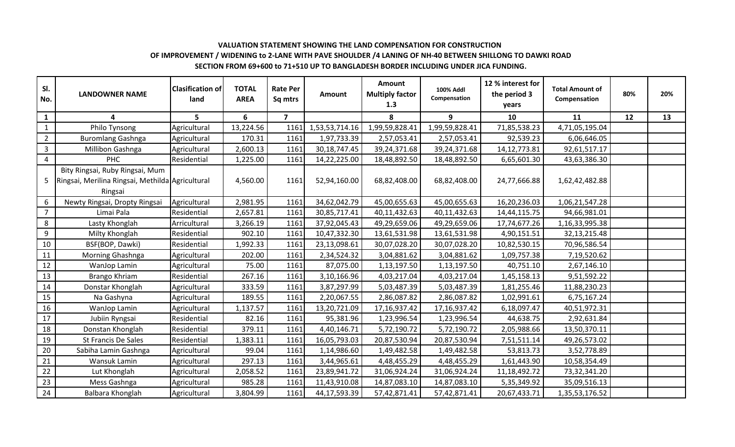## **VALUATION STATEMENT SHOWING THE LAND COMPENSATION FOR CONSTRUCTION OF IMPROVEMENT / WIDENING to 2-LANE WITH PAVE SHOULDER /4 LANING OF NH-40 BETWEEN SHILLONG TO DAWKI ROAD SECTION FROM 69+600 to 71+510 UP TO BANGLADESH BORDER INCLUDING UNDER JICA FUNDING.**

| SI.<br>No.     | <b>LANDOWNER NAME</b>                                                                          | <b>Clasification of</b><br>land | <b>TOTAL</b><br><b>AREA</b> | <b>Rate Per</b><br>Sq mtrs | <b>Amount</b>   | <b>Amount</b><br><b>Multiply factor</b><br>1.3 | <b>100% Addl</b><br>Compensation | 12 % interest for<br>the period 3<br>years | <b>Total Amount of</b><br>Compensation | 80% | 20% |
|----------------|------------------------------------------------------------------------------------------------|---------------------------------|-----------------------------|----------------------------|-----------------|------------------------------------------------|----------------------------------|--------------------------------------------|----------------------------------------|-----|-----|
| $\mathbf{1}$   | 4                                                                                              | 5                               | 6                           | $\mathbf{z}$               |                 | 8                                              | 9                                | 10                                         | 11                                     | 12  | 13  |
| $\mathbf{1}$   | Philo Tynsong                                                                                  | Agricultural                    | 13,224.56                   | 1161                       | 1,53,53,714.16  | 1,99,59,828.41                                 | 1,99,59,828.41                   | 71,85,538.23                               | 4,71,05,195.04                         |     |     |
| $\overline{2}$ | <b>Buromlang Gashnga</b>                                                                       | Agricultural                    | 170.31                      | 1161                       | 1,97,733.39     | 2,57,053.41                                    | 2,57,053.41                      | 92,539.23                                  | 6,06,646.05                            |     |     |
| $\overline{3}$ | Millibon Gashnga                                                                               | Agricultural                    | 2,600.13                    | 1161                       | 30, 18, 747. 45 | 39,24,371.68                                   | 39,24,371.68                     | 14, 12, 773. 81                            | 92,61,517.17                           |     |     |
| $\overline{4}$ | <b>PHC</b>                                                                                     | Residential                     | 1,225.00                    | 1161                       | 14,22,225.00    | 18,48,892.50                                   | 18,48,892.50                     | 6,65,601.30                                | 43,63,386.30                           |     |     |
| 5              | Bity Ringsai, Ruby Ringsai, Mum<br>Ringsai, Merilina Ringsai, Methilda Agricultural<br>Ringsai |                                 | 4,560.00                    | 1161                       | 52,94,160.00    | 68,82,408.00                                   | 68,82,408.00                     | 24,77,666.88                               | 1,62,42,482.88                         |     |     |
| 6              | Newty Ringsai, Dropty Ringsai                                                                  | Agricultural                    | 2,981.95                    | 1161                       | 34,62,042.79    | 45,00,655.63                                   | 45,00,655.63                     | 16,20,236.03                               | 1,06,21,547.28                         |     |     |
| $\overline{7}$ | Limai Pala                                                                                     | Residential                     | 2,657.81                    | 1161                       | 30,85,717.41    | 40,11,432.63                                   | 40,11,432.63                     | 14,44,115.75                               | 94,66,981.01                           |     |     |
| 8              | Lasty Khonglah                                                                                 | Arricultural                    | 3,266.19                    | 1161                       | 37,92,045.43    | 49,29,659.06                                   | 49,29,659.06                     | 17,74,677.26                               | 1,16,33,995.38                         |     |     |
| 9              | Milty Khonglah                                                                                 | Residential                     | 902.10                      | 1161                       | 10,47,332.30    | 13,61,531.98                                   | 13,61,531.98                     | 4,90,151.51                                | 32, 13, 215. 48                        |     |     |
| 10             | BSF(BOP, Dawki)                                                                                | Residential                     | 1,992.33                    | 1161                       | 23,13,098.61    | 30,07,028.20                                   | 30,07,028.20                     | 10,82,530.15                               | 70,96,586.54                           |     |     |
| 11             | Morning Ghashnga                                                                               | Agricultural                    | 202.00                      | 1161                       | 2,34,524.32     | 3,04,881.62                                    | 3,04,881.62                      | 1,09,757.38                                | 7,19,520.62                            |     |     |
| 12             | WanJop Lamin                                                                                   | Agricultural                    | 75.00                       | 1161                       | 87,075.00       | 1,13,197.50                                    | 1,13,197.50                      | 40,751.10                                  | 2,67,146.10                            |     |     |
| 13             | Brango Khriam                                                                                  | Residential                     | 267.16                      | 1161                       | 3,10,166.96     | 4,03,217.04                                    | 4,03,217.04                      | 1,45,158.13                                | 9,51,592.22                            |     |     |
| 14             | Donstar Khonglah                                                                               | Agricultural                    | 333.59                      | 1161                       | 3,87,297.99     | 5,03,487.39                                    | 5,03,487.39                      | 1,81,255.46                                | 11,88,230.23                           |     |     |
| 15             | Na Gashyna                                                                                     | Agricultural                    | 189.55                      | 1161                       | 2,20,067.55     | 2,86,087.82                                    | 2,86,087.82                      | 1,02,991.61                                | 6,75,167.24                            |     |     |
| 16             | WanJop Lamin                                                                                   | Agricultural                    | 1,137.57                    | 1161                       | 13,20,721.09    | 17, 16, 937. 42                                | 17, 16, 937. 42                  | 6,18,097.47                                | 40,51,972.31                           |     |     |
| $17\,$         | Jubiin Ryngsai                                                                                 | Residential                     | 82.16                       | 1161                       | 95,381.96       | 1,23,996.54                                    | 1,23,996.54                      | 44,638.75                                  | 2,92,631.84                            |     |     |
| 18             | Donstan Khonglah                                                                               | Residential                     | 379.11                      | 1161                       | 4,40,146.71     | 5,72,190.72                                    | 5,72,190.72                      | 2,05,988.66                                | 13,50,370.11                           |     |     |
| 19             | St Francis De Sales                                                                            | Residential                     | 1,383.11                    | 1161                       | 16,05,793.03    | 20,87,530.94                                   | 20,87,530.94                     | 7,51,511.14                                | 49,26,573.02                           |     |     |
| 20             | Sabiha Lamin Gashnga                                                                           | Agricultural                    | 99.04                       | 1161                       | 1,14,986.60     | 1,49,482.58                                    | 1,49,482.58                      | 53,813.73                                  | 3,52,778.89                            |     |     |
| 21             | Wansuk Lamin                                                                                   | Agricultural                    | 297.13                      | 1161                       | 3,44,965.61     | 4,48,455.29                                    | 4,48,455.29                      | 1,61,443.90                                | 10,58,354.49                           |     |     |
| 22             | Lut Khonglah                                                                                   | Agricultural                    | 2,058.52                    | 1161                       | 23,89,941.72    | 31,06,924.24                                   | 31,06,924.24                     | 11, 18, 492. 72                            | 73,32,341.20                           |     |     |
| 23             | Mess Gashnga                                                                                   | Agricultural                    | 985.28                      | 1161                       | 11,43,910.08    | 14,87,083.10                                   | 14,87,083.10                     | 5,35,349.92                                | 35,09,516.13                           |     |     |
| 24             | Balbara Khonglah                                                                               | Agricultural                    | 3,804.99                    | 1161                       | 44,17,593.39    | 57,42,871.41                                   | 57,42,871.41                     | 20,67,433.71                               | 1,35,53,176.52                         |     |     |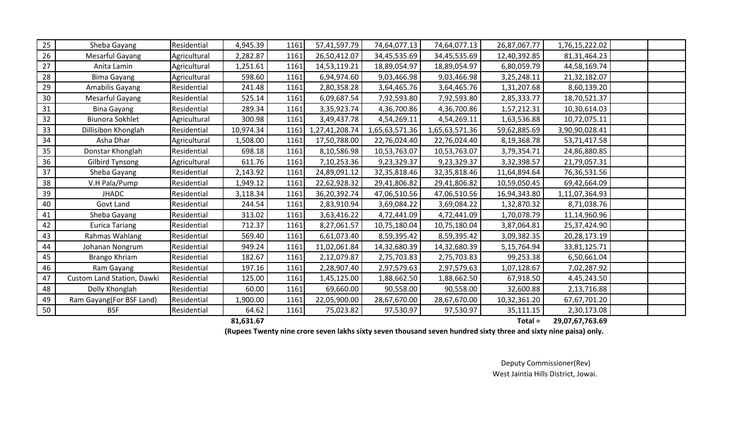| 25 | Sheba Gayang               | Residential  | 4,945.39  | 1161 | 57,41,597.79   | 74,64,077.13   | 74,64,077.13   | 26,87,067.77 | 1,76,15,222.02  |  |
|----|----------------------------|--------------|-----------|------|----------------|----------------|----------------|--------------|-----------------|--|
| 26 | Mesarful Gayang            | Agricultural | 2,282.87  | 1161 | 26,50,412.07   | 34,45,535.69   | 34,45,535.69   | 12,40,392.85 | 81, 31, 464. 23 |  |
| 27 | Anita Lamin                | Agricultural | 1,251.61  | 1161 | 14,53,119.21   | 18,89,054.97   | 18,89,054.97   | 6,80,059.79  | 44,58,169.74    |  |
| 28 | <b>Bima Gayang</b>         | Agricultural | 598.60    | 1161 | 6,94,974.60    | 9,03,466.98    | 9,03,466.98    | 3,25,248.11  | 21,32,182.07    |  |
| 29 | Amabilis Gayang            | Residential  | 241.48    | 1161 | 2,80,358.28    | 3,64,465.76    | 3,64,465.76    | 1,31,207.68  | 8,60,139.20     |  |
| 30 | Mesarful Gayang            | Residential  | 525.14    | 1161 | 6,09,687.54    | 7,92,593.80    | 7,92,593.80    | 2,85,333.77  | 18,70,521.37    |  |
| 31 | <b>Bina Gayang</b>         | Residential  | 289.34    | 1161 | 3,35,923.74    | 4,36,700.86    | 4,36,700.86    | 1,57,212.31  | 10,30,614.03    |  |
| 32 | <b>Biunora Sokhlet</b>     | Agricultural | 300.98    | 1161 | 3,49,437.78    | 4,54,269.11    | 4,54,269.11    | 1,63,536.88  | 10,72,075.11    |  |
| 33 | Dillisibon Khonglah        | Residential  | 10,974.34 | 1161 | 1,27,41,208.74 | 1,65,63,571.36 | 1,65,63,571.36 | 59,62,885.69 | 3,90,90,028.41  |  |
| 34 | Asha Dhar                  | Agricultural | 1,508.00  | 1161 | 17,50,788.00   | 22,76,024.40   | 22,76,024.40   | 8,19,368.78  | 53,71,417.58    |  |
| 35 | Donstar Khonglah           | Residential  | 698.18    | 1161 | 8,10,586.98    | 10,53,763.07   | 10,53,763.07   | 3,79,354.71  | 24,86,880.85    |  |
| 36 | <b>Gilbird Tynsong</b>     | Agricultural | 611.76    | 1161 | 7,10,253.36    | 9,23,329.37    | 9,23,329.37    | 3,32,398.57  | 21,79,057.31    |  |
| 37 | Sheba Gayang               | Residential  | 2,143.92  | 1161 | 24,89,091.12   | 32,35,818.46   | 32,35,818.46   | 11,64,894.64 | 76,36,531.56    |  |
| 38 | V.H Pala/Pump              | Residential  | 1,949.12  | 1161 | 22,62,928.32   | 29,41,806.82   | 29,41,806.82   | 10,59,050.45 | 69,42,664.09    |  |
| 39 | <b>JHADC</b>               | Residential  | 3,118.34  | 1161 | 36,20,392.74   | 47,06,510.56   | 47,06,510.56   | 16,94,343.80 | 1,11,07,364.93  |  |
| 40 | Govt Land                  | Residential  | 244.54    | 1161 | 2,83,910.94    | 3,69,084.22    | 3,69,084.22    | 1,32,870.32  | 8,71,038.76     |  |
| 41 | Sheba Gayang               | Residential  | 313.02    | 1161 | 3,63,416.22    | 4,72,441.09    | 4,72,441.09    | 1,70,078.79  | 11,14,960.96    |  |
| 42 | <b>Eurica Tariang</b>      | Residential  | 712.37    | 1161 | 8,27,061.57    | 10,75,180.04   | 10,75,180.04   | 3,87,064.81  | 25,37,424.90    |  |
| 43 | Rahmas Wahlang             | Residential  | 569.40    | 1161 | 6,61,073.40    | 8,59,395.42    | 8,59,395.42    | 3,09,382.35  | 20,28,173.19    |  |
| 44 | Johanan Nongrum            | Residential  | 949.24    | 1161 | 11,02,061.84   | 14,32,680.39   | 14,32,680.39   | 5,15,764.94  | 33,81,125.71    |  |
| 45 | Brango Khriam              | Residential  | 182.67    | 1161 | 2,12,079.87    | 2,75,703.83    | 2,75,703.83    | 99,253.38    | 6,50,661.04     |  |
| 46 | Ram Gayang                 | Residential  | 197.16    | 1161 | 2,28,907.40    | 2,97,579.63    | 2,97,579.63    | 1,07,128.67  | 7,02,287.92     |  |
| 47 | Custom Land Station, Dawki | Residential  | 125.00    | 1161 | 1,45,125.00    | 1,88,662.50    | 1,88,662.50    | 67,918.50    | 4,45,243.50     |  |
| 48 | Dolly Khonglah             | Residential  | 60.00     | 1161 | 69,660.00      | 90,558.00      | 90,558.00      | 32,600.88    | 2,13,716.88     |  |
| 49 | Ram Gayang(For BSF Land)   | Residential  | 1,900.00  | 1161 | 22,05,900.00   | 28,67,670.00   | 28,67,670.00   | 10,32,361.20 | 67,67,701.20    |  |
| 50 | <b>BSF</b>                 | Residential  | 64.62     | 1161 | 75,023.82      | 97,530.97      | 97,530.97      | 35,111.15    | 2,30,173.08     |  |

 **81,631.67 29,07,67,763.69 Total =** 

**(Rupees Twenty nine crore seven lakhs sixty seven thousand seven hundred sixty three and sixty nine paisa) only.**

Deputy Commissioner(Rev) West Jaintia Hills District, Jowai.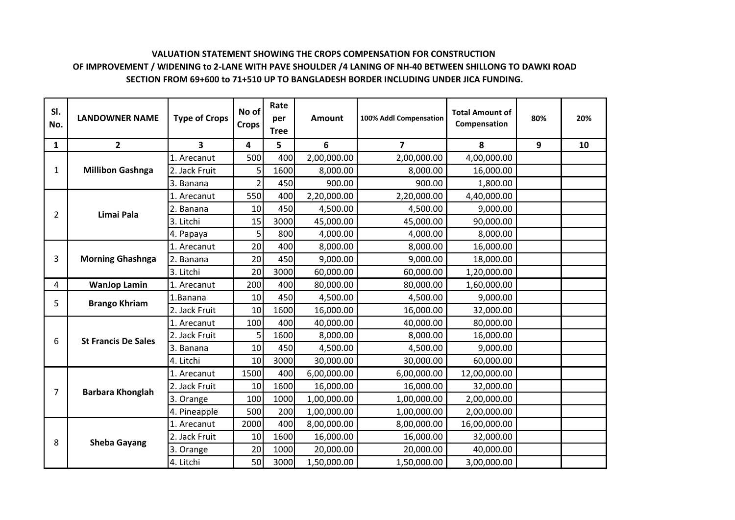# **VALUATION STATEMENT SHOWING THE CROPS COMPENSATION FOR CONSTRUCTION OF IMPROVEMENT / WIDENING to 2-LANE WITH PAVE SHOULDER /4 LANING OF NH-40 BETWEEN SHILLONG TO DAWKI ROAD SECTION FROM 69+600 to 71+510 UP TO BANGLADESH BORDER INCLUDING UNDER JICA FUNDING.**

| SI.<br>No.     | <b>LANDOWNER NAME</b>      | <b>Type of Crops</b> | No of<br><b>Crops</b> | Rate<br>per<br><b>Tree</b> | <b>Amount</b> | 100% Addl Compensation  | <b>Total Amount of</b><br>Compensation | 80% | 20% |
|----------------|----------------------------|----------------------|-----------------------|----------------------------|---------------|-------------------------|----------------------------------------|-----|-----|
| 1              | $\mathbf{2}$               | 3                    | 4                     | 5                          | 6             | $\overline{\mathbf{z}}$ | 8                                      | 9   | 10  |
|                |                            | 1. Arecanut          | 500                   | 400                        | 2,00,000.00   | 2,00,000.00             | 4,00,000.00                            |     |     |
| 1              | <b>Millibon Gashnga</b>    | 2. Jack Fruit        | 5                     | 1600                       | 8,000.00      | 8,000.00                | 16,000.00                              |     |     |
|                |                            | 3. Banana            | $\overline{2}$        | 450                        | 900.00        | 900.00                  | 1,800.00                               |     |     |
|                |                            | 1. Arecanut          | 550                   | 400                        | 2,20,000.00   | 2,20,000.00             | 4,40,000.00                            |     |     |
| $\overline{2}$ | Limai Pala                 | 2. Banana            | 10                    | 450                        | 4,500.00      | 4,500.00                | 9,000.00                               |     |     |
|                |                            | 3. Litchi            | 15                    | 3000                       | 45,000.00     | 45,000.00               | 90,000.00                              |     |     |
|                |                            | 4. Papaya            | 5                     | 800                        | 4,000.00      | 4,000.00                | 8,000.00                               |     |     |
|                |                            | 1. Arecanut          | 20                    | 400                        | 8,000.00      | 8,000.00                | 16,000.00                              |     |     |
| 3              | <b>Morning Ghashnga</b>    | 2. Banana            | 20                    | 450                        | 9,000.00      | 9,000.00                | 18,000.00                              |     |     |
|                |                            | 3. Litchi            | 20                    | 3000                       | 60,000.00     | 60,000.00               | 1,20,000.00                            |     |     |
| 4              | <b>WanJop Lamin</b>        | 1. Arecanut          | 200                   | 400                        | 80,000.00     | 80,000.00               | 1,60,000.00                            |     |     |
| 5              | <b>Brango Khriam</b>       | 1.Banana             | 10                    | 450                        | 4,500.00      | 4,500.00                | 9,000.00                               |     |     |
|                |                            | 2. Jack Fruit        | 10                    | 1600                       | 16,000.00     | 16,000.00               | 32,000.00                              |     |     |
|                |                            | 1. Arecanut          | 100                   | 400                        | 40,000.00     | 40,000.00               | 80,000.00                              |     |     |
| 6              | <b>St Francis De Sales</b> | 2. Jack Fruit        | 5                     | 1600                       | 8,000.00      | 8,000.00                | 16,000.00                              |     |     |
|                |                            | 3. Banana            | 10                    | 450                        | 4,500.00      | 4,500.00                | 9,000.00                               |     |     |
|                |                            | 4. Litchi            | 10                    | 3000                       | 30,000.00     | 30,000.00               | 60,000.00                              |     |     |
|                |                            | 1. Arecanut          | 1500                  | 400                        | 6,00,000.00   | 6,00,000.00             | 12,00,000.00                           |     |     |
| 7              | <b>Barbara Khonglah</b>    | 2. Jack Fruit        | 10                    | 1600                       | 16,000.00     | 16,000.00               | 32,000.00                              |     |     |
|                |                            | 3. Orange            | 100                   | 1000                       | 1,00,000.00   | 1,00,000.00             | 2,00,000.00                            |     |     |
|                |                            | 4. Pineapple         | 500                   | 200                        | 1,00,000.00   | 1,00,000.00             | 2,00,000.00                            |     |     |
|                |                            | 1. Arecanut          | 2000                  | 400                        | 8,00,000.00   | 8,00,000.00             | 16,00,000.00                           |     |     |
| 8              | <b>Sheba Gayang</b>        | 2. Jack Fruit        | 10                    | 1600                       | 16,000.00     | 16,000.00               | 32,000.00                              |     |     |
|                |                            | 3. Orange            | 20                    | 1000                       | 20,000.00     | 20,000.00               | 40,000.00                              |     |     |
|                |                            | 4. Litchi            | 50                    | 3000                       | 1,50,000.00   | 1,50,000.00             | 3,00,000.00                            |     |     |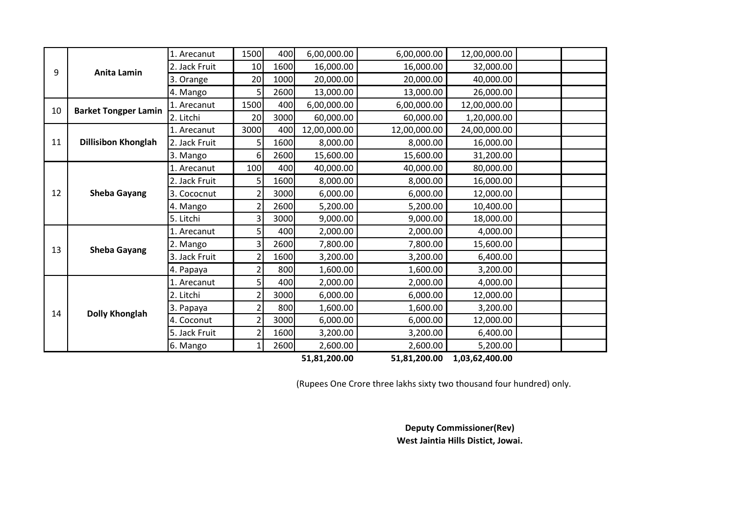|    |                             | 1. Arecanut   | 1500           | 400  | 6,00,000.00  | 6,00,000.00  | 12,00,000.00   |  |
|----|-----------------------------|---------------|----------------|------|--------------|--------------|----------------|--|
| 9  | <b>Anita Lamin</b>          | 2. Jack Fruit | 10             | 1600 | 16,000.00    | 16,000.00    | 32,000.00      |  |
|    |                             | 3. Orange     | 20             | 1000 | 20,000.00    | 20,000.00    | 40,000.00      |  |
|    |                             | 4. Mango      | 5              | 2600 | 13,000.00    | 13,000.00    | 26,000.00      |  |
| 10 | <b>Barket Tongper Lamin</b> | 1. Arecanut   | 1500           | 400  | 6,00,000.00  | 6,00,000.00  | 12,00,000.00   |  |
|    |                             | 2. Litchi     | 20             | 3000 | 60,000.00    | 60,000.00    | 1,20,000.00    |  |
|    |                             | 1. Arecanut   | 3000           | 400  | 12,00,000.00 | 12,00,000.00 | 24,00,000.00   |  |
| 11 | <b>Dillisibon Khonglah</b>  | 2. Jack Fruit | 5              | 1600 | 8,000.00     | 8,000.00     | 16,000.00      |  |
|    |                             | 3. Mango      | 6              | 2600 | 15,600.00    | 15,600.00    | 31,200.00      |  |
|    |                             | 1. Arecanut   | 100            | 400  | 40,000.00    | 40,000.00    | 80,000.00      |  |
|    |                             | 2. Jack Fruit | 5              | 1600 | 8,000.00     | 8,000.00     | 16,000.00      |  |
| 12 | <b>Sheba Gayang</b>         | 3. Cococnut   | $\overline{2}$ | 3000 | 6,000.00     | 6,000.00     | 12,000.00      |  |
|    |                             | 4. Mango      | $\overline{2}$ | 2600 | 5,200.00     | 5,200.00     | 10,400.00      |  |
|    |                             | 5. Litchi     | 3              | 3000 | 9,000.00     | 9,000.00     | 18,000.00      |  |
|    |                             | 1. Arecanut   | 5              | 400  | 2,000.00     | 2,000.00     | 4,000.00       |  |
| 13 | <b>Sheba Gayang</b>         | 2. Mango      | 3              | 2600 | 7,800.00     | 7,800.00     | 15,600.00      |  |
|    |                             | 3. Jack Fruit | 2              | 1600 | 3,200.00     | 3,200.00     | 6,400.00       |  |
|    |                             | 4. Papaya     | $\overline{2}$ | 800  | 1,600.00     | 1,600.00     | 3,200.00       |  |
|    |                             | 1. Arecanut   | 5              | 400  | 2,000.00     | 2,000.00     | 4,000.00       |  |
|    |                             | 2. Litchi     | $\overline{2}$ | 3000 | 6,000.00     | 6,000.00     | 12,000.00      |  |
| 14 |                             | 3. Papaya     | $\overline{2}$ | 800  | 1,600.00     | 1,600.00     | 3,200.00       |  |
|    | <b>Dolly Khonglah</b>       | 4. Coconut    | $\overline{2}$ | 3000 | 6,000.00     | 6,000.00     | 12,000.00      |  |
|    |                             | 5. Jack Fruit | $\overline{2}$ | 1600 | 3,200.00     | 3,200.00     | 6,400.00       |  |
|    |                             | 6. Mango      | 1              | 2600 | 2,600.00     | 2,600.00     | 5,200.00       |  |
|    |                             |               |                |      | 51,81,200.00 | 51,81,200.00 | 1,03,62,400.00 |  |

(Rupees One Crore three lakhs sixty two thousand four hundred) only.

**West Jaintia Hills Distict, Jowai. Deputy Commissioner(Rev)**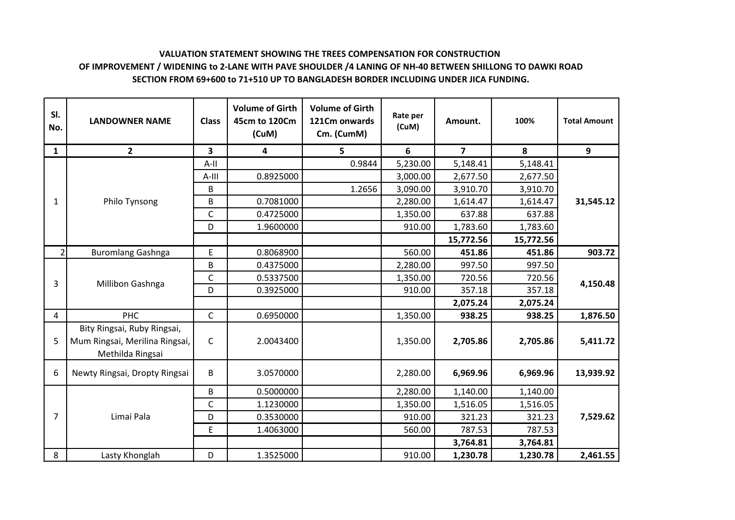# **VALUATION STATEMENT SHOWING THE TREES COMPENSATION FOR CONSTRUCTION OF IMPROVEMENT / WIDENING to 2-LANE WITH PAVE SHOULDER /4 LANING OF NH-40 BETWEEN SHILLONG TO DAWKI ROAD SECTION FROM 69+600 to 71+510 UP TO BANGLADESH BORDER INCLUDING UNDER JICA FUNDING.**

| SI.<br>No.     | <b>LANDOWNER NAME</b>                                                             | <b>Class</b> | <b>Volume of Girth</b><br>45cm to 120Cm<br>(CuM) | <b>Volume of Girth</b><br>121Cm onwards<br>Cm. (CumM) | Rate per<br>(CuM) | Amount.        | 100%      | <b>Total Amount</b> |
|----------------|-----------------------------------------------------------------------------------|--------------|--------------------------------------------------|-------------------------------------------------------|-------------------|----------------|-----------|---------------------|
| $\mathbf{1}$   | $\overline{2}$                                                                    | 3            | 4                                                | 5                                                     | 6                 | $\overline{7}$ | 8         | 9                   |
|                |                                                                                   | $A-II$       |                                                  | 0.9844                                                | 5,230.00          | 5,148.41       | 5,148.41  |                     |
|                |                                                                                   | $A-III$      | 0.8925000                                        |                                                       | 3,000.00          | 2,677.50       | 2,677.50  |                     |
|                |                                                                                   | B            |                                                  | 1.2656                                                | 3,090.00          | 3,910.70       | 3,910.70  |                     |
| 1              | Philo Tynsong                                                                     | B            | 0.7081000                                        |                                                       | 2,280.00          | 1,614.47       | 1,614.47  | 31,545.12           |
|                |                                                                                   | $\mathsf{C}$ | 0.4725000                                        |                                                       | 1,350.00          | 637.88         | 637.88    |                     |
|                |                                                                                   | D            | 1.9600000                                        |                                                       | 910.00            | 1,783.60       | 1,783.60  |                     |
|                |                                                                                   |              |                                                  |                                                       |                   | 15,772.56      | 15,772.56 |                     |
| $\overline{2}$ | <b>Buromlang Gashnga</b>                                                          | E            | 0.8068900                                        |                                                       | 560.00            | 451.86         | 451.86    | 903.72              |
|                |                                                                                   | B            | 0.4375000                                        |                                                       | 2,280.00          | 997.50         | 997.50    |                     |
| 3              | Millibon Gashnga                                                                  | C            | 0.5337500                                        |                                                       | 1,350.00          | 720.56         | 720.56    | 4,150.48            |
|                |                                                                                   | D            | 0.3925000                                        |                                                       | 910.00            | 357.18         | 357.18    |                     |
|                |                                                                                   |              |                                                  |                                                       |                   | 2,075.24       | 2,075.24  |                     |
| 4              | <b>PHC</b>                                                                        | $\mathsf{C}$ | 0.6950000                                        |                                                       | 1,350.00          | 938.25         | 938.25    | 1,876.50            |
| 5              | Bity Ringsai, Ruby Ringsai,<br>Mum Ringsai, Merilina Ringsai,<br>Methilda Ringsai | $\mathsf{C}$ | 2.0043400                                        |                                                       | 1,350.00          | 2,705.86       | 2,705.86  | 5,411.72            |
| 6              | Newty Ringsai, Dropty Ringsai                                                     | B            | 3.0570000                                        |                                                       | 2,280.00          | 6,969.96       | 6,969.96  | 13,939.92           |
|                |                                                                                   | B            | 0.5000000                                        |                                                       | 2,280.00          | 1,140.00       | 1,140.00  |                     |
|                |                                                                                   | $\mathsf{C}$ | 1.1230000                                        |                                                       | 1,350.00          | 1,516.05       | 1,516.05  |                     |
| $\overline{7}$ | Limai Pala                                                                        | D            | 0.3530000                                        |                                                       | 910.00            | 321.23         | 321.23    | 7,529.62            |
|                |                                                                                   | E            | 1.4063000                                        |                                                       | 560.00            | 787.53         | 787.53    |                     |
|                |                                                                                   |              |                                                  |                                                       |                   | 3,764.81       | 3,764.81  |                     |
| 8              | Lasty Khonglah                                                                    | D            | 1.3525000                                        |                                                       | 910.00            | 1,230.78       | 1,230.78  | 2,461.55            |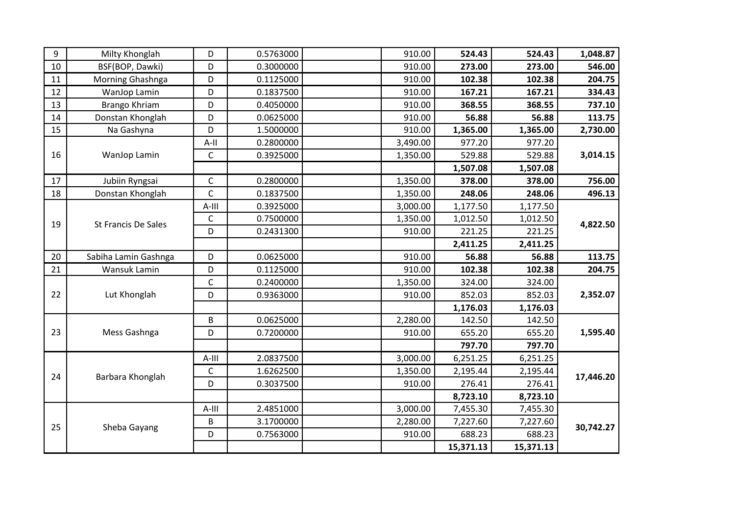| 9  | Milty Khonglah             | D            | 0.5763000 | 910.00   | 524.43   | 524.43   | 1,048.87  |
|----|----------------------------|--------------|-----------|----------|----------|----------|-----------|
| 10 | BSF(BOP, Dawki)            | D            | 0.3000000 | 910.00   | 273.00   | 273.00   | 546.00    |
| 11 | Morning Ghashnga           | D            | 0.1125000 | 910.00   | 102.38   | 102.38   | 204.75    |
| 12 | WanJop Lamin               | D            | 0.1837500 | 910.00   | 167.21   | 167.21   | 334.43    |
| 13 | Brango Khriam              | D            | 0.4050000 | 910.00   | 368.55   | 368.55   | 737.10    |
| 14 | Donstan Khonglah           | D            | 0.0625000 | 910.00   | 56.88    | 56.88    | 113.75    |
| 15 | Na Gashyna                 | D            | 1.5000000 | 910.00   | 1,365.00 | 1,365.00 | 2,730.00  |
|    |                            | $A-II$       | 0.2800000 | 3,490.00 | 977.20   | 977.20   |           |
| 16 | WanJop Lamin               | $\mathsf C$  | 0.3925000 | 1,350.00 | 529.88   | 529.88   | 3,014.15  |
|    |                            |              |           |          | 1,507.08 | 1,507.08 |           |
| 17 | Jubiin Ryngsai             | $\mathsf{C}$ | 0.2800000 | 1,350.00 | 378.00   | 378.00   | 756.00    |
| 18 | Donstan Khonglah           | $\mathsf C$  | 0.1837500 | 1,350.00 | 248.06   | 248.06   | 496.13    |
|    |                            | $A-III$      | 0.3925000 | 3,000.00 | 1,177.50 | 1,177.50 |           |
| 19 | <b>St Francis De Sales</b> | $\mathsf C$  | 0.7500000 | 1,350.00 | 1,012.50 | 1,012.50 | 4,822.50  |
|    |                            | D            | 0.2431300 | 910.00   | 221.25   | 221.25   |           |
|    |                            |              |           |          | 2,411.25 | 2,411.25 |           |
| 20 | Sabiha Lamin Gashnga       | D            | 0.0625000 | 910.00   | 56.88    | 56.88    | 113.75    |
| 21 | Wansuk Lamin               | D            | 0.1125000 | 910.00   | 102.38   | 102.38   | 204.75    |
|    |                            |              |           |          |          |          |           |
|    |                            | $\mathsf C$  | 0.2400000 | 1,350.00 | 324.00   | 324.00   |           |
| 22 | Lut Khonglah               | D            | 0.9363000 | 910.00   | 852.03   | 852.03   | 2,352.07  |
|    |                            |              |           |          | 1,176.03 | 1,176.03 |           |
|    |                            | B            | 0.0625000 | 2,280.00 | 142.50   | 142.50   |           |
| 23 | Mess Gashnga               | D            | 0.7200000 | 910.00   | 655.20   | 655.20   | 1,595.40  |
|    |                            |              |           |          | 797.70   | 797.70   |           |
|    |                            | $A$ -III     | 2.0837500 | 3,000.00 | 6,251.25 | 6,251.25 |           |
|    |                            | $\mathsf C$  | 1.6262500 | 1,350.00 | 2,195.44 | 2,195.44 |           |
| 24 | Barbara Khonglah           | D            | 0.3037500 | 910.00   | 276.41   | 276.41   | 17,446.20 |
|    |                            |              |           |          | 8,723.10 | 8,723.10 |           |
|    |                            | $A$ -III     | 2.4851000 | 3,000.00 | 7,455.30 | 7,455.30 |           |
|    |                            | B            | 3.1700000 | 2,280.00 | 7,227.60 | 7,227.60 |           |
| 25 | Sheba Gayang               | D            | 0.7563000 | 910.00   | 688.23   | 688.23   | 30,742.27 |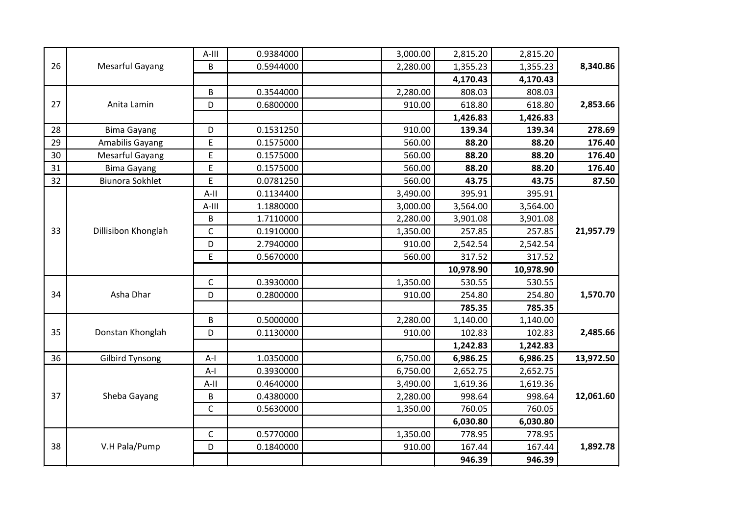|           | 2,815.20  | 2,815.20  | 3,000.00 | 0.9384000 | $A$ -III     |                        |    |
|-----------|-----------|-----------|----------|-----------|--------------|------------------------|----|
| 8,340.86  | 1,355.23  | 1,355.23  | 2,280.00 | 0.5944000 | B            | <b>Mesarful Gayang</b> | 26 |
|           | 4,170.43  | 4,170.43  |          |           |              |                        |    |
|           | 808.03    | 808.03    | 2,280.00 | 0.3544000 | B            |                        |    |
| 2,853.66  | 618.80    | 618.80    | 910.00   | 0.6800000 | D            | Anita Lamin            | 27 |
|           | 1,426.83  | 1,426.83  |          |           |              |                        |    |
| 278.69    | 139.34    | 139.34    | 910.00   | 0.1531250 | D            | <b>Bima Gayang</b>     | 28 |
| 176.40    | 88.20     | 88.20     | 560.00   | 0.1575000 | E            | Amabilis Gayang        | 29 |
| 176.40    | 88.20     | 88.20     | 560.00   | 0.1575000 | E            | <b>Mesarful Gayang</b> | 30 |
| 176.40    | 88.20     | 88.20     | 560.00   | 0.1575000 | E            | <b>Bima Gayang</b>     | 31 |
| 87.50     | 43.75     | 43.75     | 560.00   | 0.0781250 | E            | <b>Biunora Sokhlet</b> | 32 |
|           | 395.91    | 395.91    | 3,490.00 | 0.1134400 | $A-II$       |                        |    |
|           | 3,564.00  | 3,564.00  | 3,000.00 | 1.1880000 | $A$ -III     |                        |    |
|           | 3,901.08  | 3,901.08  | 2,280.00 | 1.7110000 | B            |                        |    |
| 21,957.79 | 257.85    | 257.85    | 1,350.00 | 0.1910000 | $\mathsf C$  | Dillisibon Khonglah    | 33 |
|           | 2,542.54  | 2,542.54  | 910.00   | 2.7940000 | D            |                        |    |
|           | 317.52    | 317.52    | 560.00   | 0.5670000 | E            |                        |    |
|           | 10,978.90 | 10,978.90 |          |           |              |                        |    |
|           | 530.55    | 530.55    | 1,350.00 | 0.3930000 | $\mathsf{C}$ |                        |    |
| 1,570.70  | 254.80    | 254.80    | 910.00   | 0.2800000 | D            | Asha Dhar              | 34 |
|           | 785.35    | 785.35    |          |           |              |                        |    |
|           | 1,140.00  | 1,140.00  | 2,280.00 | 0.5000000 | B            |                        |    |
| 2,485.66  | 102.83    | 102.83    | 910.00   | 0.1130000 | D            | Donstan Khonglah       | 35 |
|           | 1,242.83  | 1,242.83  |          |           |              |                        |    |
| 13,972.50 | 6,986.25  | 6,986.25  | 6,750.00 | 1.0350000 | $A-I$        | <b>Gilbird Tynsong</b> | 36 |
|           | 2,652.75  | 2,652.75  | 6,750.00 | 0.3930000 | $A-I$        |                        |    |
|           | 1,619.36  | 1,619.36  | 3,490.00 | 0.4640000 | $A-II$       |                        |    |
| 12,061.60 | 998.64    | 998.64    | 2,280.00 | 0.4380000 | $\sf B$      | Sheba Gayang           | 37 |
|           | 760.05    | 760.05    | 1,350.00 | 0.5630000 | $\mathsf C$  |                        |    |
|           | 6,030.80  | 6,030.80  |          |           |              |                        |    |
|           | 778.95    | 778.95    | 1,350.00 | 0.5770000 | $\mathsf C$  |                        |    |
| 1,892.78  | 167.44    | 167.44    | 910.00   | 0.1840000 | D            | V.H Pala/Pump          | 38 |
|           | 946.39    | 946.39    |          |           |              |                        |    |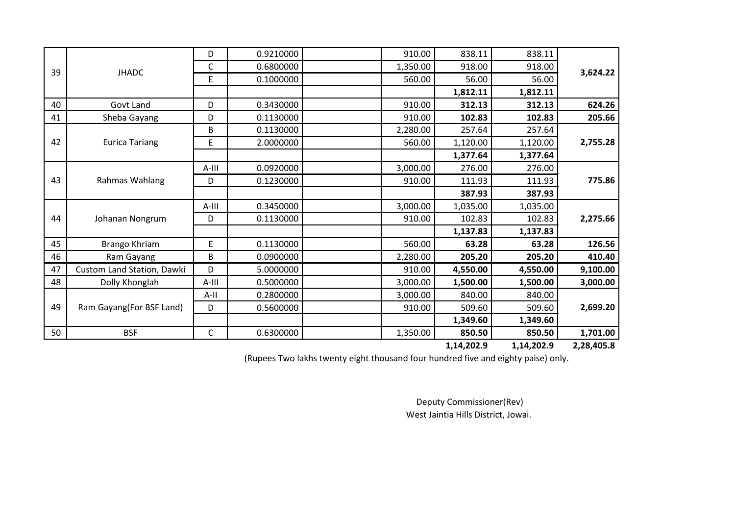|    |                            | D       | 0.9210000 | 910.00   | 838.11     | 838.11     |            |
|----|----------------------------|---------|-----------|----------|------------|------------|------------|
| 39 | <b>JHADC</b>               | C       | 0.6800000 | 1,350.00 | 918.00     | 918.00     |            |
|    |                            | E       | 0.1000000 | 560.00   | 56.00      | 56.00      | 3,624.22   |
|    |                            |         |           |          | 1,812.11   | 1,812.11   |            |
| 40 | Govt Land                  | D       | 0.3430000 | 910.00   | 312.13     | 312.13     | 624.26     |
| 41 | Sheba Gayang               | D       | 0.1130000 | 910.00   | 102.83     | 102.83     | 205.66     |
|    |                            | B       | 0.1130000 | 2,280.00 | 257.64     | 257.64     |            |
| 42 | <b>Eurica Tariang</b>      | E       | 2.0000000 | 560.00   | 1,120.00   | 1,120.00   | 2,755.28   |
|    |                            |         |           |          | 1,377.64   | 1,377.64   |            |
|    |                            | A-III   | 0.0920000 | 3,000.00 | 276.00     | 276.00     |            |
| 43 | Rahmas Wahlang             | D       | 0.1230000 | 910.00   | 111.93     | 111.93     | 775.86     |
|    |                            |         |           |          | 387.93     | 387.93     |            |
|    |                            | A-III   | 0.3450000 | 3,000.00 | 1,035.00   | 1,035.00   |            |
| 44 | Johanan Nongrum            | D       | 0.1130000 | 910.00   | 102.83     | 102.83     | 2,275.66   |
|    |                            |         |           |          | 1,137.83   | 1,137.83   |            |
| 45 | Brango Khriam              | E       | 0.1130000 | 560.00   | 63.28      | 63.28      | 126.56     |
| 46 | Ram Gayang                 | B       | 0.0900000 | 2,280.00 | 205.20     | 205.20     | 410.40     |
| 47 | Custom Land Station, Dawki | D       | 5.0000000 | 910.00   | 4,550.00   | 4,550.00   | 9,100.00   |
| 48 | Dolly Khonglah             | $A-III$ | 0.5000000 | 3,000.00 | 1,500.00   | 1,500.00   | 3,000.00   |
|    |                            | A-II    | 0.2800000 | 3,000.00 | 840.00     | 840.00     |            |
| 49 | Ram Gayang (For BSF Land)  | D       | 0.5600000 | 910.00   | 509.60     | 509.60     | 2,699.20   |
|    |                            |         |           |          | 1,349.60   | 1,349.60   |            |
| 50 | <b>BSF</b>                 | C       | 0.6300000 | 1,350.00 | 850.50     | 850.50     | 1,701.00   |
|    |                            |         |           |          | 1,14,202.9 | 1,14,202.9 | 2,28,405.8 |

(Rupees Two lakhs twenty eight thousand four hundred five and eighty paise) only.

Deputy Commissioner(Rev) West Jaintia Hills District, Jowai.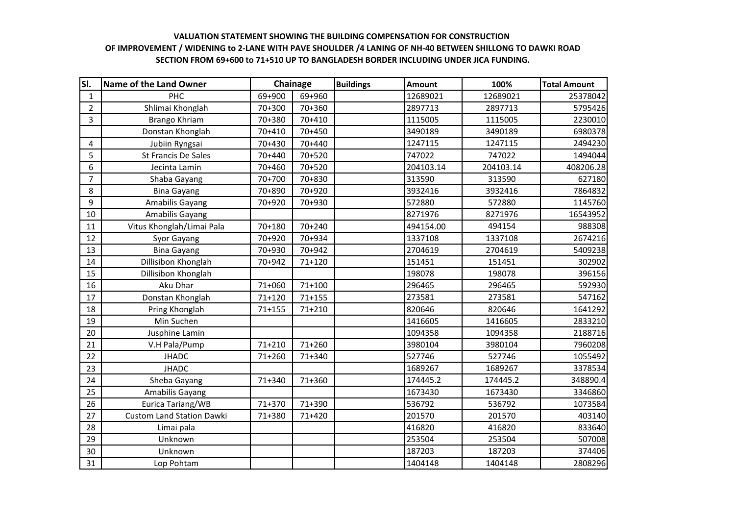## **VALUATION STATEMENT SHOWING THE BUILDING COMPENSATION FOR CONSTRUCTION SECTION FROM 69+600 to 71+510 UP TO BANGLADESH BORDER INCLUDING UNDER JICA FUNDING. OF IMPROVEMENT / WIDENING to 2-LANE WITH PAVE SHOULDER /4 LANING OF NH-40 BETWEEN SHILLONG TO DAWKI ROAD**

| SI.            | <b>Name of the Land Owner</b>    | Chainage   |            | <b>Buildings</b> | <b>Amount</b> | 100%      | <b>Total Amount</b> |
|----------------|----------------------------------|------------|------------|------------------|---------------|-----------|---------------------|
| $\mathbf{1}$   | PHC                              | 69+900     | 69+960     |                  | 12689021      | 12689021  | 25378042            |
| $\overline{2}$ | Shlimai Khonglah                 | 70+300     | 70+360     |                  | 2897713       | 2897713   | 5795426             |
| 3              | Brango Khriam                    | 70+380     | 70+410     |                  | 1115005       | 1115005   | 2230010             |
|                | Donstan Khonglah                 | 70+410     | 70+450     |                  | 3490189       | 3490189   | 6980378             |
| 4              | Jubiin Ryngsai                   | 70+430     | 70+440     |                  | 1247115       | 1247115   | 2494230             |
| 5              | St Francis De Sales              | 70+440     | 70+520     |                  | 747022        | 747022    | 1494044             |
| 6              | Jecinta Lamin                    | 70+460     | 70+520     |                  | 204103.14     | 204103.14 | 408206.28           |
| 7              | Shaba Gayang                     | 70+700     | 70+830     |                  | 313590        | 313590    | 627180              |
| 8              | <b>Bina Gayang</b>               | 70+890     | 70+920     |                  | 3932416       | 3932416   | 7864832             |
| 9              | Amabilis Gayang                  | 70+920     | 70+930     |                  | 572880        | 572880    | 1145760             |
| 10             | Amabilis Gayang                  |            |            |                  | 8271976       | 8271976   | 16543952            |
| 11             | Vitus Khonglah/Limai Pala        | 70+180     | 70+240     |                  | 494154.00     | 494154    | 988308              |
| 12             | Syor Gayang                      | 70+920     | 70+934     |                  | 1337108       | 1337108   | 2674216             |
| 13             | <b>Bina Gayang</b>               | 70+930     | 70+942     |                  | 2704619       | 2704619   | 5409238             |
| 14             | Dillisibon Khonglah              | 70+942     | 71+120     |                  | 151451        | 151451    | 302902              |
| 15             | Dillisibon Khonglah              |            |            |                  | 198078        | 198078    | 396156              |
| 16             | Aku Dhar                         | 71+060     | $71 + 100$ |                  | 296465        | 296465    | 592930              |
| 17             | Donstan Khonglah                 | $71 + 120$ | $71 + 155$ |                  | 273581        | 273581    | 547162              |
| 18             | Pring Khonglah                   | $71 + 155$ | 71+210     |                  | 820646        | 820646    | 1641292             |
| 19             | Min Suchen                       |            |            |                  | 1416605       | 1416605   | 2833210             |
| 20             | Jusphine Lamin                   |            |            |                  | 1094358       | 1094358   | 2188716             |
| 21             | V.H Pala/Pump                    | $71 + 210$ | 71+260     |                  | 3980104       | 3980104   | 7960208             |
| 22             | <b>JHADC</b>                     | 71+260     | 71+340     |                  | 527746        | 527746    | 1055492             |
| 23             | <b>JHADC</b>                     |            |            |                  | 1689267       | 1689267   | 3378534             |
| 24             | Sheba Gayang                     | 71+340     | 71+360     |                  | 174445.2      | 174445.2  | 348890.4            |
| 25             | Amabilis Gayang                  |            |            |                  | 1673430       | 1673430   | 3346860             |
| 26             | Eurica Tariang/WB                | 71+370     | 71+390     |                  | 536792        | 536792    | 1073584             |
| 27             | <b>Custom Land Station Dawki</b> | 71+380     | 71+420     |                  | 201570        | 201570    | 403140              |
| 28             | Limai pala                       |            |            |                  | 416820        | 416820    | 833640              |
| 29             | Unknown                          |            |            |                  | 253504        | 253504    | 507008              |
| 30             | Unknown                          |            |            |                  | 187203        | 187203    | 374406              |
| 31             | Lop Pohtam                       |            |            |                  | 1404148       | 1404148   | 2808296             |